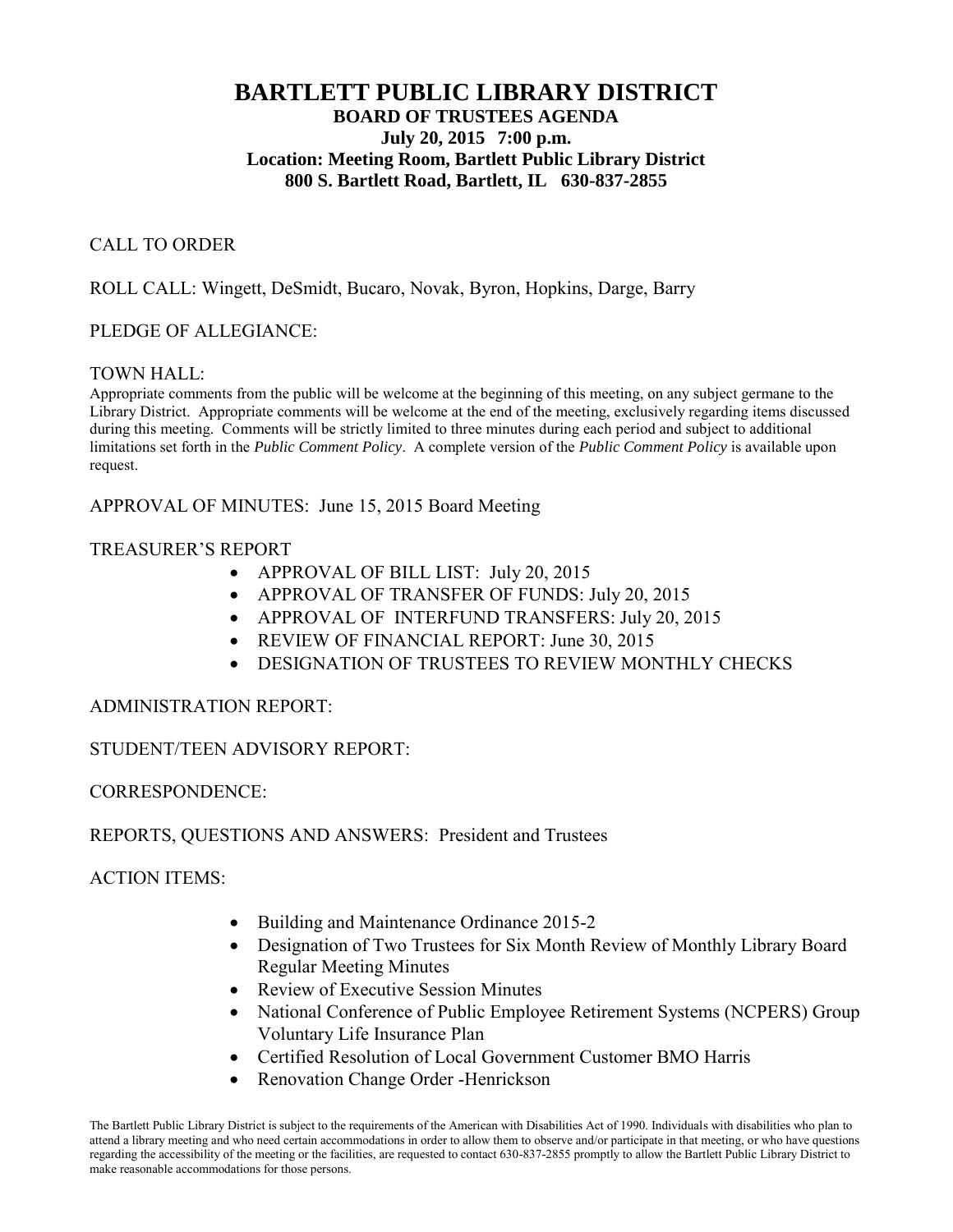# **BARTLETT PUBLIC LIBRARY DISTRICT BOARD OF TRUSTEES AGENDA July 20, 2015 7:00 p.m. Location: Meeting Room, Bartlett Public Library District 800 S. Bartlett Road, Bartlett, IL 630-837-2855**

### CALL TO ORDER

### ROLL CALL: Wingett, DeSmidt, Bucaro, Novak, Byron, Hopkins, Darge, Barry

#### PLEDGE OF ALLEGIANCE:

#### TOWN HALL:

Appropriate comments from the public will be welcome at the beginning of this meeting, on any subject germane to the Library District. Appropriate comments will be welcome at the end of the meeting, exclusively regarding items discussed during this meeting. Comments will be strictly limited to three minutes during each period and subject to additional limitations set forth in the *Public Comment Policy*. A complete version of the *Public Comment Policy* is available upon request.

APPROVAL OF MINUTES: June 15, 2015 Board Meeting

#### TREASURER'S REPORT

- APPROVAL OF BILL LIST: July 20, 2015
- APPROVAL OF TRANSFER OF FUNDS: July 20, 2015
- APPROVAL OF INTERFUND TRANSFERS: July 20, 2015
- REVIEW OF FINANCIAL REPORT: June 30, 2015
- DESIGNATION OF TRUSTEES TO REVIEW MONTHLY CHECKS

#### ADMINISTRATION REPORT:

## STUDENT/TEEN ADVISORY REPORT:

#### CORRESPONDENCE:

#### REPORTS, QUESTIONS AND ANSWERS: President and Trustees

ACTION ITEMS:

- Building and Maintenance Ordinance 2015-2
- Designation of Two Trustees for Six Month Review of Monthly Library Board Regular Meeting Minutes
- Review of Executive Session Minutes
- National Conference of Public Employee Retirement Systems (NCPERS) Group Voluntary Life Insurance Plan
- Certified Resolution of Local Government Customer BMO Harris
- Renovation Change Order -Henrickson